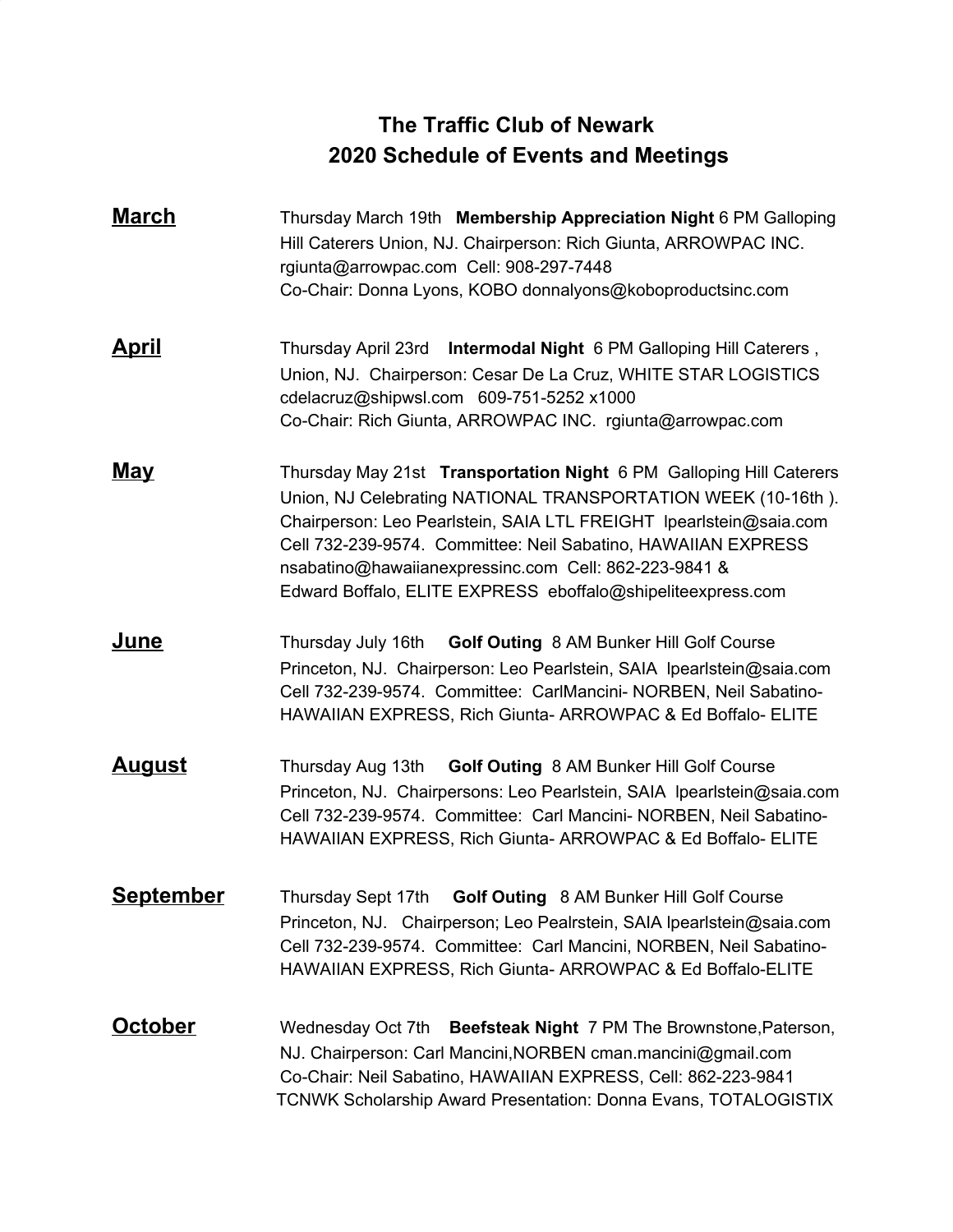## **The Traffic Club of Newark 2020 Schedule of Events and Meetings**

- **March** Thursday March 19th **Membership Appreciation Night** 6 PM Galloping Hill Caterers Union, NJ. Chairperson: Rich Giunta, ARROWPAC INC. rgiunta@arrowpac.com Cell: 908-297-7448 Co-Chair: Donna Lyons, KOBO donnalyons@koboproductsinc.com
- **April** Thursday April 23rd **Intermodal Night** 6 PM Galloping Hill Caterers , Union, NJ. Chairperson: Cesar De La Cruz, WHITE STAR LOGISTICS cdelacruz@shipwsl.com 609-751-5252 x1000 Co-Chair: Rich Giunta, ARROWPAC INC. rgiunta@arrowpac.com
- **May** Thursday May 21st **Transportation Night** 6 PM Galloping Hill Caterers Union, NJ Celebrating NATIONAL TRANSPORTATION WEEK (10-16th ). Chairperson: Leo Pearlstein, SAIA LTL FREIGHT lpearlstein@saia.com Cell 732-239-9574. Committee: Neil Sabatino, HAWAIIAN EXPRESS nsabatino@hawaiianexpressinc.com Cell: 862-223-9841 & Edward Boffalo, ELITE EXPRESS eboffalo@shipeliteexpress.com
- **June** Thursday July 16th **Golf Outing** 8 AM Bunker Hill Golf Course Princeton, NJ. Chairperson: Leo Pearlstein, SAIA lpearlstein@saia.com Cell 732-239-9574. Committee: CarlMancini- NORBEN, Neil Sabatino-HAWAIIAN EXPRESS, Rich Giunta- ARROWPAC & Ed Boffalo- ELITE
- **August** Thursday Aug 13th **Golf Outing** 8 AM Bunker Hill Golf Course Princeton, NJ. Chairpersons: Leo Pearlstein, SAIA lpearlstein@saia.com Cell 732-239-9574. Committee: Carl Mancini- NORBEN, Neil Sabatino-HAWAIIAN EXPRESS, Rich Giunta- ARROWPAC & Ed Boffalo- ELITE
- **September** Thursday Sept 17th **Golf Outing** 8 AM Bunker Hill Golf Course Princeton, NJ. Chairperson; Leo Pealrstein, SAIA lpearlstein@saia.com Cell 732-239-9574. Committee: Carl Mancini, NORBEN, Neil Sabatino-HAWAIIAN EXPRESS, Rich Giunta- ARROWPAC & Ed Boffalo-ELITE
- **October** Wednesday Oct 7th **Beefsteak Night** 7 PM The Brownstone,Paterson, NJ. Chairperson: Carl Mancini,NORBEN cman.mancini@gmail.com Co-Chair: Neil Sabatino, HAWAIIAN EXPRESS, Cell: 862-223-9841 TCNWK Scholarship Award Presentation: Donna Evans, TOTALOGISTIX